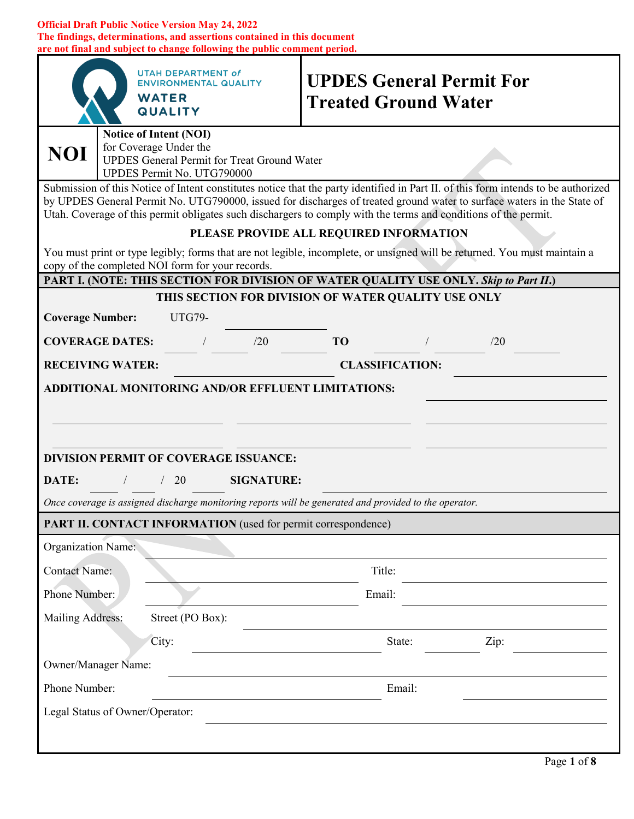#### **Official Draft Public Notice Version May 24, 2022 The findings, determinations, and assertions contained in this document are not final and subject to change following the public comment period.**

|                                                                                                                                               | <b>UTAH DEPARTMENT of</b><br><b>ENVIRONMENTAL QUALITY</b><br><b>WATER</b><br><b>QUALITY</b>                                                                                                                                                                                                                                                                                     | <b>UPDES General Permit For</b><br><b>Treated Ground Water</b>                                                            |      |  |  |
|-----------------------------------------------------------------------------------------------------------------------------------------------|---------------------------------------------------------------------------------------------------------------------------------------------------------------------------------------------------------------------------------------------------------------------------------------------------------------------------------------------------------------------------------|---------------------------------------------------------------------------------------------------------------------------|------|--|--|
| Notice of Intent (NOI)<br>for Coverage Under the<br>NOI \<br><b>UPDES General Permit for Treat Ground Water</b><br>UPDES Permit No. UTG790000 |                                                                                                                                                                                                                                                                                                                                                                                 |                                                                                                                           |      |  |  |
|                                                                                                                                               | Submission of this Notice of Intent constitutes notice that the party identified in Part II. of this form intends to be authorized<br>by UPDES General Permit No. UTG790000, issued for discharges of treated ground water to surface waters in the State of<br>Utah. Coverage of this permit obligates such dischargers to comply with the terms and conditions of the permit. |                                                                                                                           |      |  |  |
|                                                                                                                                               |                                                                                                                                                                                                                                                                                                                                                                                 | PLEASE PROVIDE ALL REQUIRED INFORMATION                                                                                   |      |  |  |
|                                                                                                                                               | copy of the completed NOI form for your records.                                                                                                                                                                                                                                                                                                                                | You must print or type legibly; forms that are not legible, incomplete, or unsigned will be returned. You must maintain a |      |  |  |
|                                                                                                                                               |                                                                                                                                                                                                                                                                                                                                                                                 | PART I. (NOTE: THIS SECTION FOR DIVISION OF WATER QUALITY USE ONLY. Skip to Part II.)                                     |      |  |  |
|                                                                                                                                               |                                                                                                                                                                                                                                                                                                                                                                                 | THIS SECTION FOR DIVISION OF WATER QUALITY USE ONLY                                                                       |      |  |  |
| <b>Coverage Number:</b>                                                                                                                       | <b>UTG79-</b>                                                                                                                                                                                                                                                                                                                                                                   |                                                                                                                           |      |  |  |
| <b>COVERAGE DATES:</b>                                                                                                                        | $\frac{1}{20}$                                                                                                                                                                                                                                                                                                                                                                  | <b>TO</b>                                                                                                                 | /20  |  |  |
| <b>RECEIVING WATER:</b>                                                                                                                       |                                                                                                                                                                                                                                                                                                                                                                                 | <b>CLASSIFICATION:</b>                                                                                                    |      |  |  |
| <b>ADDITIONAL MONITORING AND/OR EFFLUENT LIMITATIONS:</b><br><b>DIVISION PERMIT OF COVERAGE ISSUANCE:</b>                                     |                                                                                                                                                                                                                                                                                                                                                                                 |                                                                                                                           |      |  |  |
| DATE:                                                                                                                                         | / / 20 SIGNATURE:                                                                                                                                                                                                                                                                                                                                                               |                                                                                                                           |      |  |  |
| Once coverage is assigned discharge monitoring reports will be generated and provided to the operator.                                        |                                                                                                                                                                                                                                                                                                                                                                                 |                                                                                                                           |      |  |  |
| PART II. CONTACT INFORMATION (used for permit correspondence)                                                                                 |                                                                                                                                                                                                                                                                                                                                                                                 |                                                                                                                           |      |  |  |
| <b>Organization Name:</b>                                                                                                                     |                                                                                                                                                                                                                                                                                                                                                                                 |                                                                                                                           |      |  |  |
| <b>Contact Name:</b>                                                                                                                          |                                                                                                                                                                                                                                                                                                                                                                                 | Title:                                                                                                                    |      |  |  |
| Phone Number:                                                                                                                                 |                                                                                                                                                                                                                                                                                                                                                                                 | Email:                                                                                                                    |      |  |  |
| Mailing Address:                                                                                                                              | Street (PO Box):                                                                                                                                                                                                                                                                                                                                                                |                                                                                                                           |      |  |  |
|                                                                                                                                               | City:                                                                                                                                                                                                                                                                                                                                                                           | State:                                                                                                                    | Zip: |  |  |
| Owner/Manager Name:                                                                                                                           |                                                                                                                                                                                                                                                                                                                                                                                 |                                                                                                                           |      |  |  |
| Phone Number:                                                                                                                                 |                                                                                                                                                                                                                                                                                                                                                                                 | Email:                                                                                                                    |      |  |  |
| Legal Status of Owner/Operator:                                                                                                               |                                                                                                                                                                                                                                                                                                                                                                                 |                                                                                                                           |      |  |  |
|                                                                                                                                               |                                                                                                                                                                                                                                                                                                                                                                                 |                                                                                                                           |      |  |  |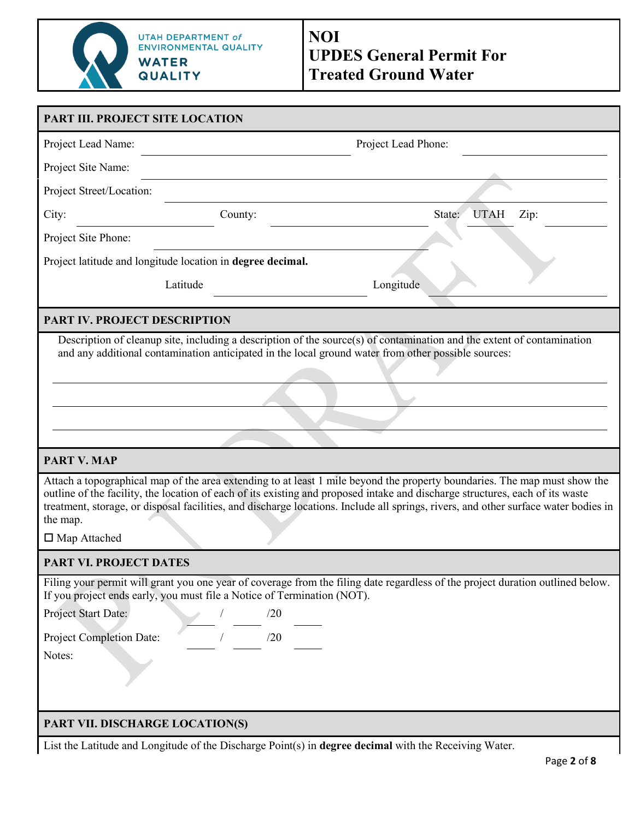

| PART III. PROJECT SITE LOCATION                            |                                                                                                                        |                                                                                                                                                                                                                                                                                                                                                                                                   |              |
|------------------------------------------------------------|------------------------------------------------------------------------------------------------------------------------|---------------------------------------------------------------------------------------------------------------------------------------------------------------------------------------------------------------------------------------------------------------------------------------------------------------------------------------------------------------------------------------------------|--------------|
| Project Lead Name:                                         |                                                                                                                        | Project Lead Phone:                                                                                                                                                                                                                                                                                                                                                                               |              |
| Project Site Name:                                         |                                                                                                                        |                                                                                                                                                                                                                                                                                                                                                                                                   |              |
| Project Street/Location:                                   |                                                                                                                        |                                                                                                                                                                                                                                                                                                                                                                                                   |              |
| City:                                                      | County:                                                                                                                | State:                                                                                                                                                                                                                                                                                                                                                                                            | UTAH<br>Zip: |
| Project Site Phone:                                        |                                                                                                                        |                                                                                                                                                                                                                                                                                                                                                                                                   |              |
| Project latitude and longitude location in degree decimal. |                                                                                                                        |                                                                                                                                                                                                                                                                                                                                                                                                   |              |
|                                                            | Latitude                                                                                                               | Longitude                                                                                                                                                                                                                                                                                                                                                                                         |              |
| <b>PART IV. PROJECT DESCRIPTION</b>                        |                                                                                                                        |                                                                                                                                                                                                                                                                                                                                                                                                   |              |
|                                                            |                                                                                                                        | Description of cleanup site, including a description of the source(s) of contamination and the extent of contamination<br>and any additional contamination anticipated in the local ground water from other possible sources:                                                                                                                                                                     |              |
| <b>PART V. MAP</b>                                         |                                                                                                                        |                                                                                                                                                                                                                                                                                                                                                                                                   |              |
| the map.<br>□ Map Attached                                 |                                                                                                                        | Attach a topographical map of the area extending to at least 1 mile beyond the property boundaries. The map must show the<br>outline of the facility, the location of each of its existing and proposed intake and discharge structures, each of its waste<br>treatment, storage, or disposal facilities, and discharge locations. Include all springs, rivers, and other surface water bodies in |              |
| <b>PART VI. PROJECT DATES</b>                              |                                                                                                                        |                                                                                                                                                                                                                                                                                                                                                                                                   |              |
| Project Start Date:<br>Project Completion Date:<br>Notes:  | If you project ends early, you must file a Notice of Termination (NOT).<br>$\frac{1}{1}$ $\frac{1}{20}$ $\frac{1}{20}$ | Filing your permit will grant you one year of coverage from the filing date regardless of the project duration outlined below.                                                                                                                                                                                                                                                                    |              |
| PART VII. DISCHARGE LOCATION(S)                            |                                                                                                                        |                                                                                                                                                                                                                                                                                                                                                                                                   |              |

List the Latitude and Longitude of the Discharge Point(s) in **degree decimal** with the Receiving Water.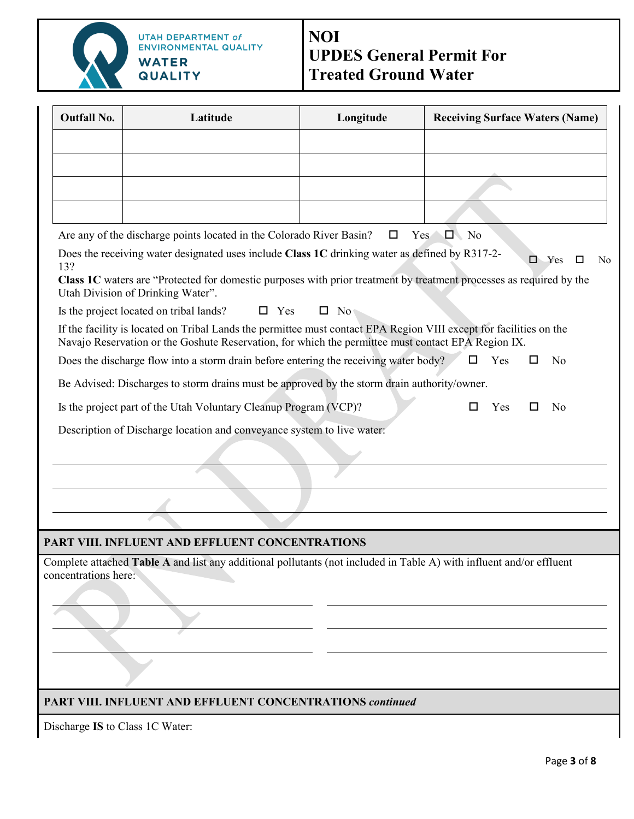

# **NOI UPDES General Permit For Treated Ground Water**

| <b>Outfall No.</b>   | Latitude                                                                                                                                                                                                                                                   | Longitude    | <b>Receiving Surface Waters (Name)</b> |  |  |
|----------------------|------------------------------------------------------------------------------------------------------------------------------------------------------------------------------------------------------------------------------------------------------------|--------------|----------------------------------------|--|--|
|                      |                                                                                                                                                                                                                                                            |              |                                        |  |  |
|                      |                                                                                                                                                                                                                                                            |              |                                        |  |  |
|                      |                                                                                                                                                                                                                                                            |              |                                        |  |  |
|                      |                                                                                                                                                                                                                                                            |              |                                        |  |  |
|                      | Are any of the discharge points located in the Colorado River Basin?                                                                                                                                                                                       | □            | $\Box$ No<br>Yes b                     |  |  |
| 13?                  | Does the receiving water designated uses include Class 1C drinking water as defined by R317-2-<br>Class 1C waters are "Protected for domestic purposes with prior treatment by treatment processes as required by the<br>Utah Division of Drinking Water". |              | $\Box$ Yes<br>□<br>No                  |  |  |
|                      | Is the project located on tribal lands?<br>$\Box$ Yes                                                                                                                                                                                                      | $\square$ No |                                        |  |  |
|                      | If the facility is located on Tribal Lands the permittee must contact EPA Region VIII except for facilities on the<br>Navajo Reservation or the Goshute Reservation, for which the permittee must contact EPA Region IX.                                   |              |                                        |  |  |
|                      | Does the discharge flow into a storm drain before entering the receiving water body?                                                                                                                                                                       |              | $\Box$<br>Yes<br>No                    |  |  |
|                      | Be Advised: Discharges to storm drains must be approved by the storm drain authority/owner.                                                                                                                                                                |              |                                        |  |  |
|                      | Is the project part of the Utah Voluntary Cleanup Program (VCP)?                                                                                                                                                                                           |              | Yes<br>No<br>ΙI                        |  |  |
|                      | Description of Discharge location and conveyance system to live water:                                                                                                                                                                                     |              |                                        |  |  |
|                      |                                                                                                                                                                                                                                                            |              |                                        |  |  |
|                      |                                                                                                                                                                                                                                                            |              |                                        |  |  |
|                      |                                                                                                                                                                                                                                                            |              |                                        |  |  |
|                      |                                                                                                                                                                                                                                                            |              |                                        |  |  |
|                      | PART VIII. INFLUENT AND EFFLUENT CONCENTRATIONS                                                                                                                                                                                                            |              |                                        |  |  |
| concentrations here: | Complete attached Table A and list any additional pollutants (not included in Table A) with influent and/or effluent                                                                                                                                       |              |                                        |  |  |
|                      |                                                                                                                                                                                                                                                            |              |                                        |  |  |
|                      | <b>PART VIII. INFLUENT AND EFFLUENT CONCENTRATIONS continued</b>                                                                                                                                                                                           |              |                                        |  |  |

Discharge **IS** to Class 1C Water: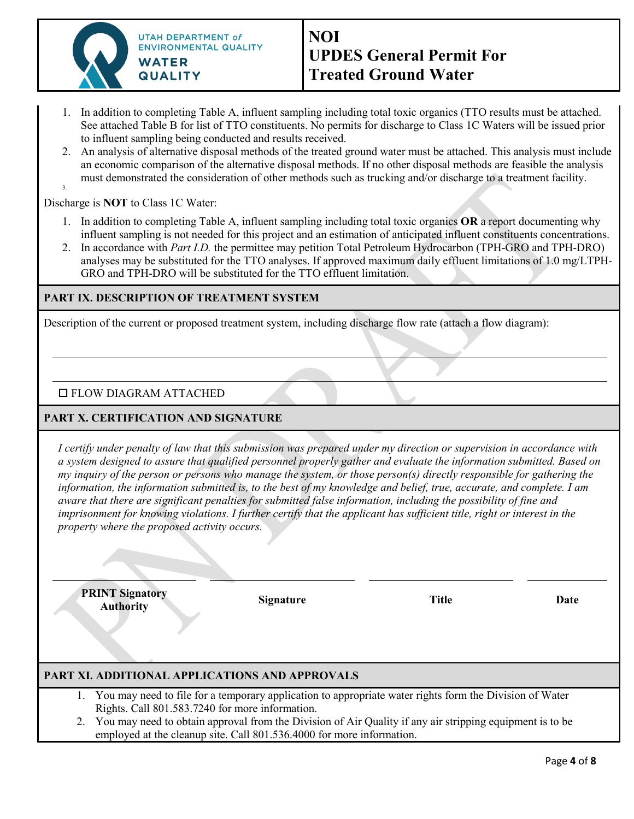

- 1. In addition to completing Table A, influent sampling including total toxic organics (TTO results must be attached. See attached Table B for list of TTO constituents. No permits for discharge to Class 1C Waters will be issued prior to influent sampling being conducted and results received.
- 2. An analysis of alternative disposal methods of the treated ground water must be attached. This analysis must include an economic comparison of the alternative disposal methods. If no other disposal methods are feasible the analysis must demonstrated the consideration of other methods such as trucking and/or discharge to a treatment facility. 3.

Discharge is **NOT** to Class 1C Water:

- 1. In addition to completing Table A, influent sampling including total toxic organics **OR** a report documenting why influent sampling is not needed for this project and an estimation of anticipated influent constituents concentrations.
- 2. In accordance with *Part I.D.* the permittee may petition Total Petroleum Hydrocarbon (TPH-GRO and TPH-DRO) analyses may be substituted for the TTO analyses. If approved maximum daily effluent limitations of 1.0 mg/LTPH-GRO and TPH-DRO will be substituted for the TTO effluent limitation.

### **PART IX. DESCRIPTION OF TREATMENT SYSTEM**

Description of the current or proposed treatment system, including discharge flow rate (attach a flow diagram):

## FLOW DIAGRAM ATTACHED

## **PART X. CERTIFICATION AND SIGNATURE**

*I certify under penalty of law that this submission was prepared under my direction or supervision in accordance with a system designed to assure that qualified personnel properly gather and evaluate the information submitted. Based on my inquiry of the person or persons who manage the system, or those person(s) directly responsible for gathering the information, the information submitted is, to the best of my knowledge and belief, true, accurate, and complete. I am aware that there are significant penalties for submitted false information, including the possibility of fine and imprisonment for knowing violations. I further certify that the applicant has sufficient title, right or interest in the property where the proposed activity occurs.* 

**PRINT Signatory Authority Signature Title Date**

## **PART XI. ADDITIONAL APPLICATIONS AND APPROVALS**

- 1. You may need to file for a temporary application to appropriate water rights form the Division of Water Rights. Call 801.583.7240 for more information.
- 2. You may need to obtain approval from the Division of Air Quality if any air stripping equipment is to be employed at the cleanup site. Call 801.536.4000 for more information.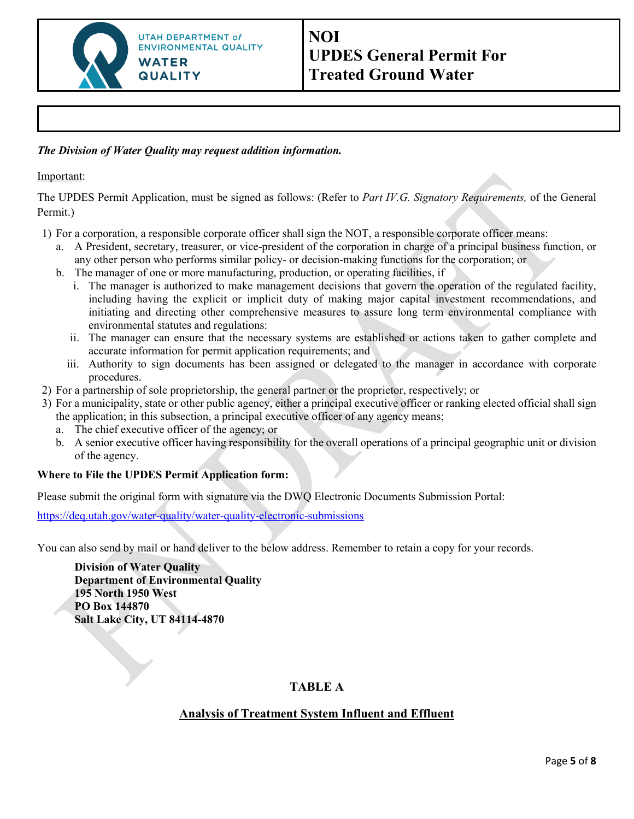

## *The Division of Water Quality may request addition information.*

Important:

The UPDES Permit Application, must be signed as follows: (Refer to *Part IV.G. Signatory Requirements,* of the General Permit.)

- 1) For a corporation, a responsible corporate officer shall sign the NOT, a responsible corporate officer means:
	- a. A President, secretary, treasurer, or vice-president of the corporation in charge of a principal business function, or any other person who performs similar policy- or decision-making functions for the corporation; or
	- b. The manager of one or more manufacturing, production, or operating facilities, if
		- i. The manager is authorized to make management decisions that govern the operation of the regulated facility, including having the explicit or implicit duty of making major capital investment recommendations, and initiating and directing other comprehensive measures to assure long term environmental compliance with environmental statutes and regulations:
		- ii. The manager can ensure that the necessary systems are established or actions taken to gather complete and accurate information for permit application requirements; and
		- iii. Authority to sign documents has been assigned or delegated to the manager in accordance with corporate procedures.
- 2) For a partnership of sole proprietorship, the general partner or the proprietor, respectively; or
- 3) For a municipality, state or other public agency, either a principal executive officer or ranking elected official shall sign the application; in this subsection, a principal executive officer of any agency means;
	- a. The chief executive officer of the agency; or
	- b. A senior executive officer having responsibility for the overall operations of a principal geographic unit or division of the agency.

## **Where to File the UPDES Permit Application form:**

Please submit the original form with signature via the DWQ Electronic Documents Submission Portal:

<https://deq.utah.gov/water-quality/water-quality-electronic-submissions>

You can also send by mail or hand deliver to the below address. Remember to retain a copy for your records.

**Division of Water Quality Department of Environmental Quality 195 North 1950 West PO Box 144870 Salt Lake City, UT 84114-4870** 

## **TABLE A**

## **Analysis of Treatment System Influent and Effluent**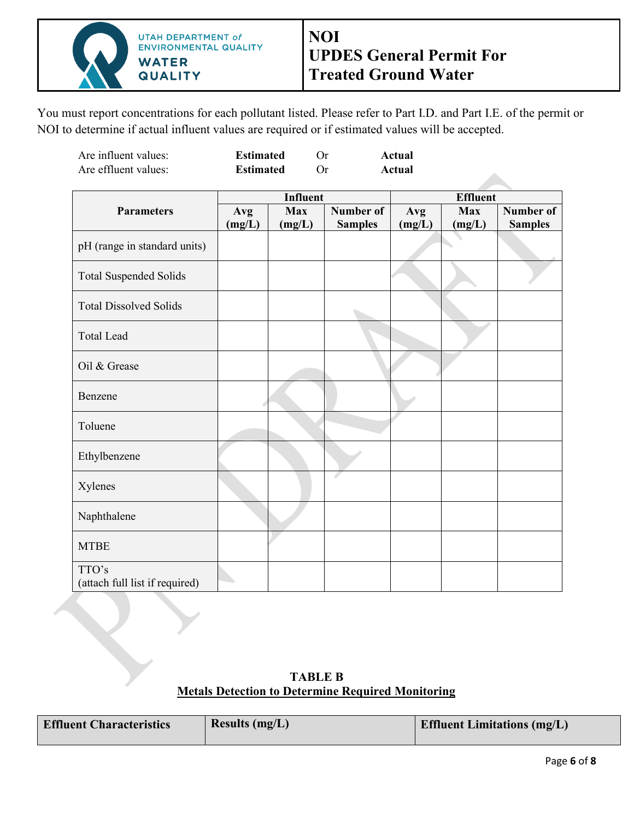

You must report concentrations for each pollutant listed. Please refer to Part I.D. and Part I.E. of the permit or NOI to determine if actual influent values are required or if estimated values will be accepted.

| Are influent values: | <b>Estimated</b> | Actual |
|----------------------|------------------|--------|
| Are effluent values: | <b>Estimated</b> | Actual |

|                                         | <b>Influent</b> |                      |                                    | <b>Effluent</b> |                      |                             |
|-----------------------------------------|-----------------|----------------------|------------------------------------|-----------------|----------------------|-----------------------------|
| <b>Parameters</b>                       | Avg<br>(mg/L)   | <b>Max</b><br>(mg/L) | <b>Number of</b><br><b>Samples</b> | Avg<br>(mg/L)   | <b>Max</b><br>(mg/L) | Number of<br><b>Samples</b> |
| pH (range in standard units)            |                 |                      |                                    |                 |                      |                             |
| <b>Total Suspended Solids</b>           |                 |                      |                                    |                 |                      |                             |
| <b>Total Dissolved Solids</b>           |                 |                      |                                    |                 |                      |                             |
| <b>Total Lead</b>                       |                 |                      |                                    |                 |                      |                             |
| Oil & Grease                            |                 |                      |                                    |                 |                      |                             |
| Benzene                                 |                 |                      |                                    |                 |                      |                             |
| Toluene                                 |                 |                      |                                    |                 |                      |                             |
| Ethylbenzene                            |                 |                      |                                    |                 |                      |                             |
| Xylenes                                 |                 |                      |                                    |                 |                      |                             |
| Naphthalene                             |                 |                      |                                    |                 |                      |                             |
| <b>MTBE</b>                             |                 |                      |                                    |                 |                      |                             |
| TTO's<br>(attach full list if required) |                 |                      |                                    |                 |                      |                             |

**TABLE B Metals Detection to Determine Required Monitoring** 

| <b>Effluent Characteristics</b> | Results $(mg/L)$ | <b>Effluent Limitations (mg/L)</b> |
|---------------------------------|------------------|------------------------------------|
|                                 |                  |                                    |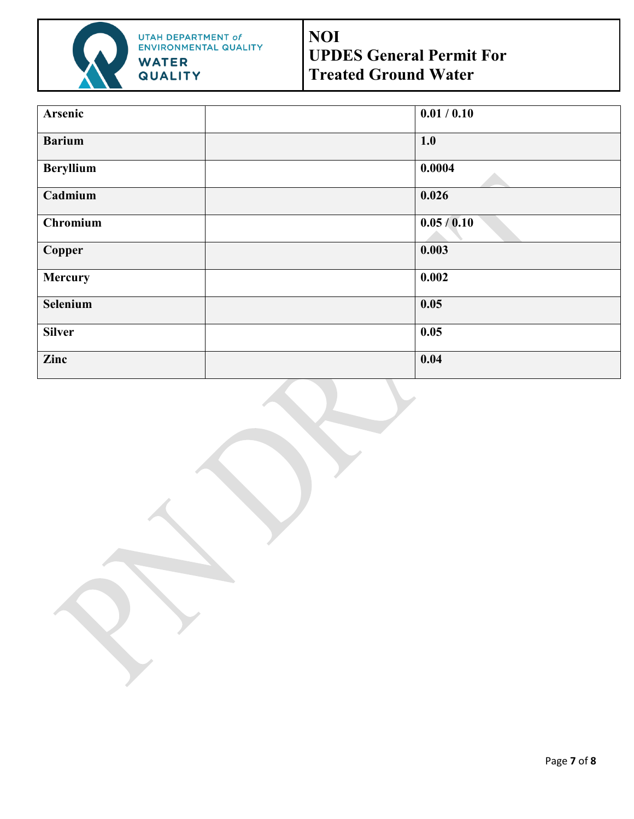

UTAH DEPARTMENT of<br>ENVIRONMENTAL QUALITY **WATER QUALITY** 

# **NOI UPDES General Permit For Treated Ground Water**

| Arsenic          | 0.01 / 0.10 |
|------------------|-------------|
| <b>Barium</b>    | 1.0         |
| <b>Beryllium</b> | 0.0004      |
| Cadmium          | 0.026       |
| Chromium         | 0.05/0.10   |
| <b>Copper</b>    | 0.003       |
| Mercury          | 0.002       |
| Selenium         | 0.05        |
| <b>Silver</b>    | 0.05        |
| Zinc             | 0.04        |